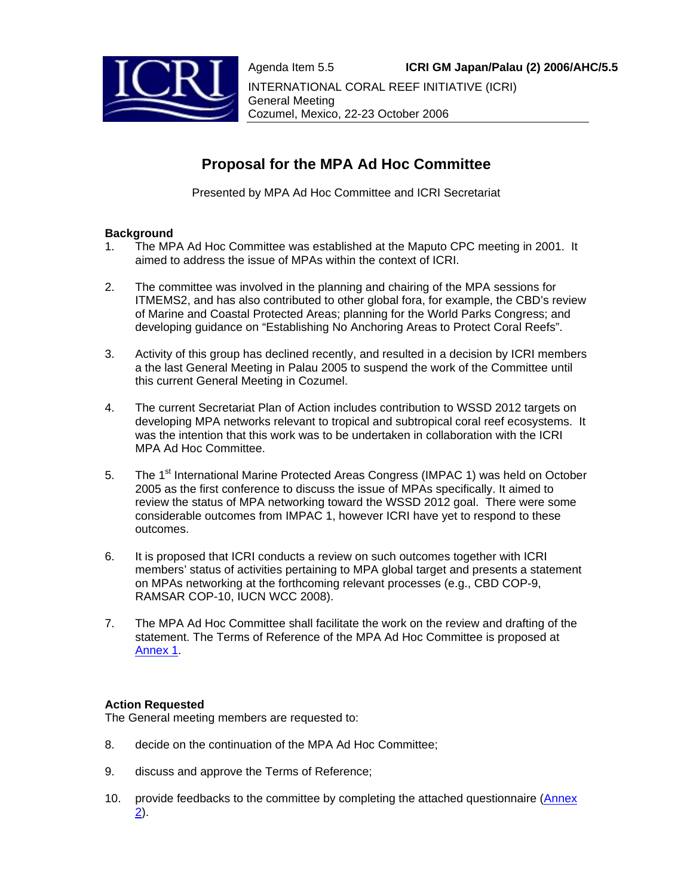

# **Proposal for the MPA Ad Hoc Committee**

Presented by MPA Ad Hoc Committee and ICRI Secretariat

#### **Background**

- 1. The MPA Ad Hoc Committee was established at the Maputo CPC meeting in 2001. It aimed to address the issue of MPAs within the context of ICRI.
- 2. The committee was involved in the planning and chairing of the MPA sessions for ITMEMS2, and has also contributed to other global fora, for example, the CBD's review of Marine and Coastal Protected Areas; planning for the World Parks Congress; and developing guidance on "Establishing No Anchoring Areas to Protect Coral Reefs".
- 3. Activity of this group has declined recently, and resulted in a decision by ICRI members a the last General Meeting in Palau 2005 to suspend the work of the Committee until this current General Meeting in Cozumel.
- 4. The current Secretariat Plan of Action includes contribution to WSSD 2012 targets on developing MPA networks relevant to tropical and subtropical coral reef ecosystems. It was the intention that this work was to be undertaken in collaboration with the ICRI MPA Ad Hoc Committee.
- 5. The 1<sup>st</sup> International Marine Protected Areas Congress (IMPAC 1) was held on October 2005 as the first conference to discuss the issue of MPAs specifically. It aimed to review the status of MPA networking toward the WSSD 2012 goal. There were some considerable outcomes from IMPAC 1, however ICRI have yet to respond to these outcomes.
- 6. It is proposed that ICRI conducts a review on such outcomes together with ICRI members' status of activities pertaining to MPA global target and presents a statement on MPAs networking at the forthcoming relevant processes (e.g., CBD COP-9, RAMSAR COP-10, IUCN WCC 2008).
- 7. The MPA Ad Hoc Committee shall facilitate the work on the review and drafting of the statement. The Terms of Reference of the MPA Ad Hoc Committee is proposed at Annex 1.

#### **Action Requested**

The General meeting members are requested to:

- 8. decide on the continuation of the MPA Ad Hoc Committee;
- 9. discuss and approve the Terms of Reference;
- 10. provide feedbacks to the committee by completing the attached questionnaire (Annex  $(2)$ .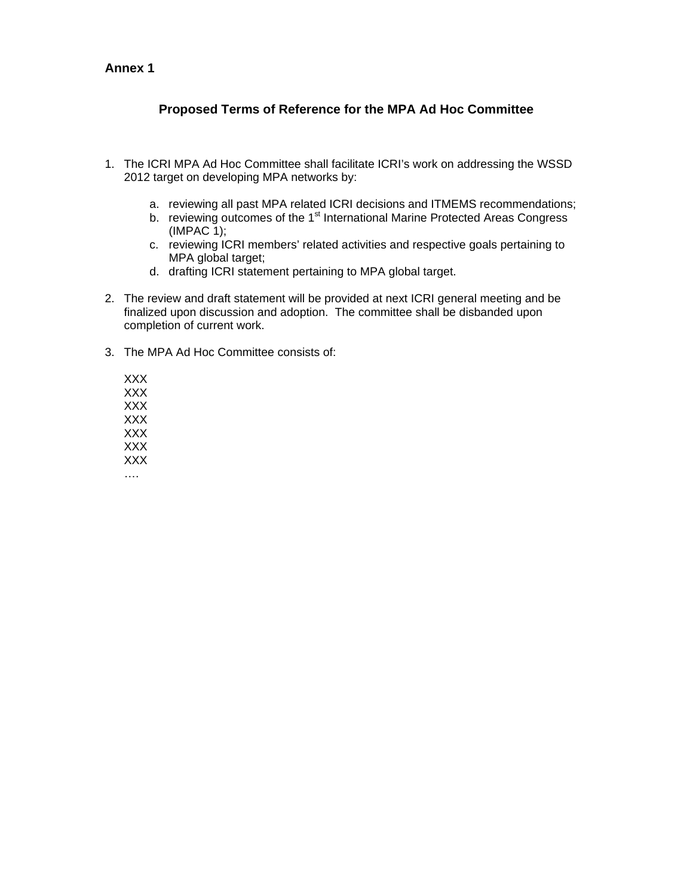### **Annex 1**

## **Proposed Terms of Reference for the MPA Ad Hoc Committee**

- 1. The ICRI MPA Ad Hoc Committee shall facilitate ICRI's work on addressing the WSSD 2012 target on developing MPA networks by:
	- a. reviewing all past MPA related ICRI decisions and ITMEMS recommendations;
	- b. reviewing outcomes of the 1<sup>st</sup> International Marine Protected Areas Congress (IMPAC 1);
	- c. reviewing ICRI members' related activities and respective goals pertaining to MPA global target;
	- d. drafting ICRI statement pertaining to MPA global target.
- 2. The review and draft statement will be provided at next ICRI general meeting and be finalized upon discussion and adoption. The committee shall be disbanded upon completion of current work.
- 3. The MPA Ad Hoc Committee consists of:

XXX XXX XXX XXX XXX XXX XXX ….